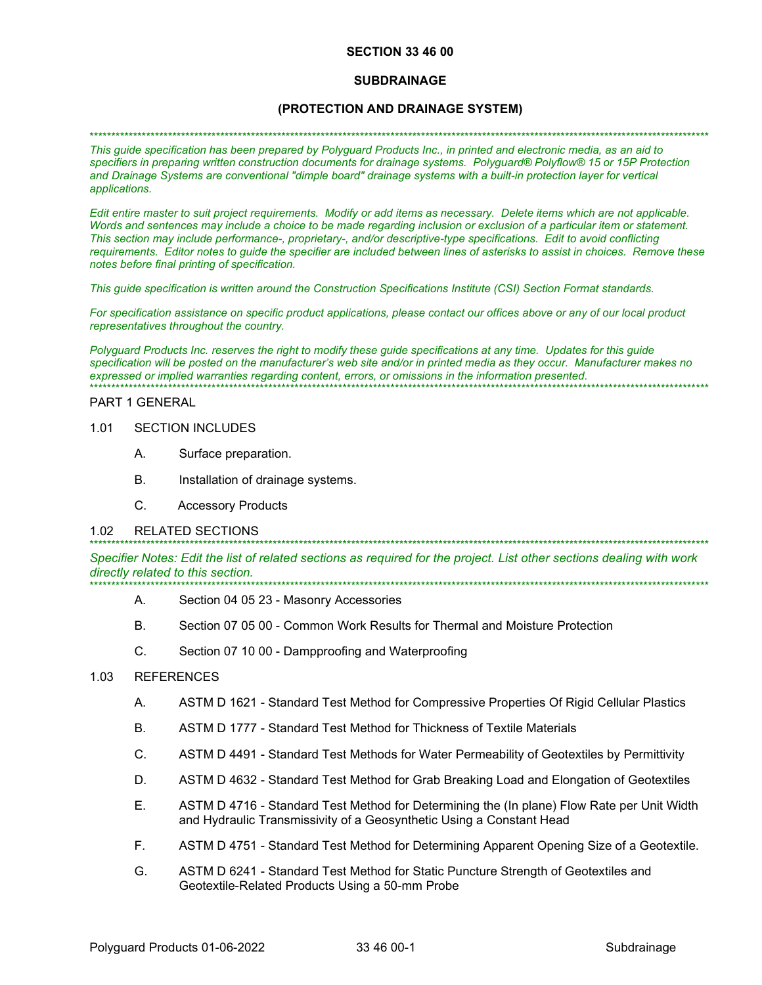### **SECTION 33 46 00**

### **SUBDRAINAGE**

## (PROTECTION AND DRAINAGE SYSTEM)

#### 

This guide specification has been prepared by Polyguard Products Inc., in printed and electronic media, as an aid to specifiers in preparing written construction documents for drainage systems. Polyguard® Polyflow® 15 or 15P Protection and Drainage Systems are conventional "dimple board" drainage systems with a built-in protection layer for vertical applications.

Edit entire master to suit project requirements. Modify or add items as necessary. Delete items which are not applicable. Words and sentences may include a choice to be made regarding inclusion or exclusion of a particular item or statement. This section may include performance-, proprietary-, and/or descriptive-type specifications. Edit to avoid conflicting requirements. Editor notes to quide the specifier are included between lines of asterisks to assist in choices. Remove these notes before final printing of specification.

This guide specification is written around the Construction Specifications Institute (CSI) Section Format standards.

For specification assistance on specific product applications, please contact our offices above or any of our local product representatives throughout the country.

Polyguard Products Inc. reserves the right to modify these guide specifications at any time. Updates for this guide specification will be posted on the manufacturer's web site and/or in printed media as they occur. Manufacturer makes no expressed or implied warranties regarding content, errors, or omissions in the information presented. 

#### PART 1 GENERAL

#### $1<sub>01</sub>$ **SECTION INCLUDES**

- A. Surface preparation.
- $B<sub>1</sub>$ Installation of drainage systems.
- $\mathsf{C}$ **Accessory Products**

#### $1.02$ **RELATED SECTIONS**

Specifier Notes: Edit the list of related sections as required for the project. List other sections dealing with work directly related to this section.

- А. Section 04 05 23 - Masonry Accessories
- $B<sub>1</sub>$ Section 07 05 00 - Common Work Results for Thermal and Moisture Protection
- $C_{\cdot}$ Section 07 10 00 - Dampproofing and Waterproofing

#### $1.03$ **REFERENCES**

- $A_{i}$ ASTM D 1621 - Standard Test Method for Compressive Properties Of Rigid Cellular Plastics
- **B.** ASTM D 1777 - Standard Test Method for Thickness of Textile Materials
- C. ASTM D 4491 - Standard Test Methods for Water Permeability of Geotextiles by Permittivity
- D. ASTM D 4632 - Standard Test Method for Grab Breaking Load and Elongation of Geotextiles
- F. ASTM D 4716 - Standard Test Method for Determining the (In plane) Flow Rate per Unit Width and Hydraulic Transmissivity of a Geosynthetic Using a Constant Head
- F. ASTM D 4751 - Standard Test Method for Determining Apparent Opening Size of a Geotextile.
- G. ASTM D 6241 - Standard Test Method for Static Puncture Strength of Geotextiles and Geotextile-Related Products Using a 50-mm Probe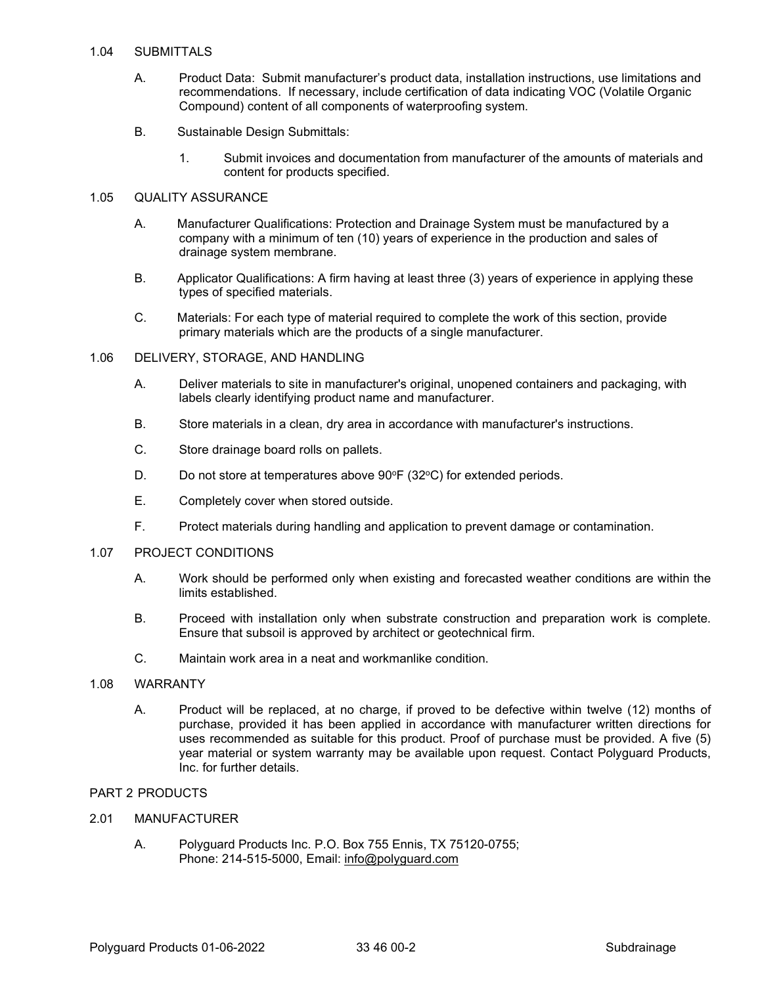### 1.04 SUBMITTALS

- A. Product Data: Submit manufacturer's product data, installation instructions, use limitations and recommendations. If necessary, include certification of data indicating VOC (Volatile Organic Compound) content of all components of waterproofing system.
- B. Sustainable Design Submittals:
	- 1. Submit invoices and documentation from manufacturer of the amounts of materials and content for products specified.

## 1.05 QUALITY ASSURANCE

- A. Manufacturer Qualifications: Protection and Drainage System must be manufactured by a company with a minimum of ten (10) years of experience in the production and sales of drainage system membrane.
- B. Applicator Qualifications: A firm having at least three (3) years of experience in applying these types of specified materials.
- C. Materials: For each type of material required to complete the work of this section, provide primary materials which are the products of a single manufacturer.
- 1.06 DELIVERY, STORAGE, AND HANDLING
	- A. Deliver materials to site in manufacturer's original, unopened containers and packaging, with labels clearly identifying product name and manufacturer.
	- B. Store materials in a clean, dry area in accordance with manufacturer's instructions.
	- C. Store drainage board rolls on pallets.
	- D. Do not store at temperatures above  $90^{\circ}F(32^{\circ}C)$  for extended periods.
	- E. Completely cover when stored outside.
	- F. Protect materials during handling and application to prevent damage or contamination.

### 1.07 PROJECT CONDITIONS

- A. Work should be performed only when existing and forecasted weather conditions are within the limits established.
- B. Proceed with installation only when substrate construction and preparation work is complete. Ensure that subsoil is approved by architect or geotechnical firm.
- C. Maintain work area in a neat and workmanlike condition.

## 1.08 WARRANTY

A. Product will be replaced, at no charge, if proved to be defective within twelve (12) months of purchase, provided it has been applied in accordance with manufacturer written directions for uses recommended as suitable for this product. Proof of purchase must be provided. A five (5) year material or system warranty may be available upon request. Contact Polyguard Products, Inc. for further details.

## PART 2 PRODUCTS

### 2.01 MANUFACTURER

A. Polyguard Products Inc. P.O. Box 755 Ennis, TX 75120-0755; Phone: 214-515-5000, Email: [info@polyguard.com](mailto:info@polyguard.com)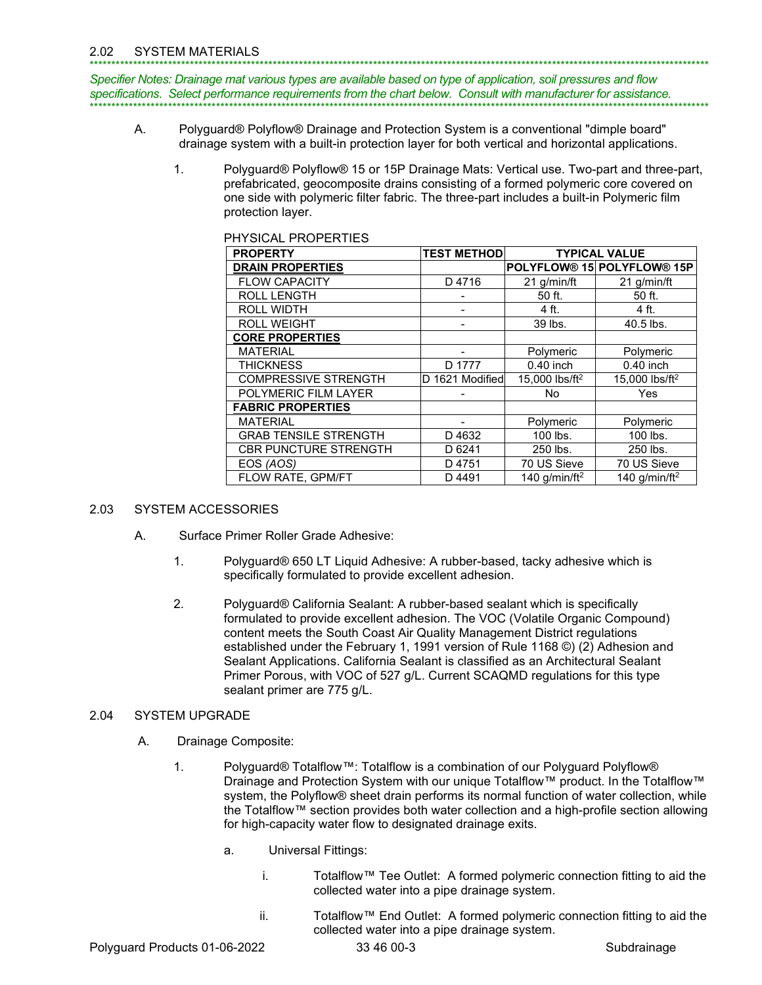Specifier Notes: Drainage mat various types are available based on type of application, soil pressures and flow specifications. Select performance requirements from the chart below. Consult with manufacturer for assistance.

- A. Polyguard® Polyflow® Drainage and Protection System is a conventional "dimple board" drainage system with a built-in protection layer for both vertical and horizontal applications.
	- Polyguard® Polyflow® 15 or 15P Drainage Mats: Vertical use. Two-part and three-part,  $1.$ prefabricated, geocomposite drains consisting of a formed polymeric core covered on one side with polymeric filter fabric. The three-part includes a built-in Polymeric film protection layer.

| <b>PROPERTY</b>              | <b>TEST METHOD</b> | <b>TYPICAL VALUE</b>      |                                                    |
|------------------------------|--------------------|---------------------------|----------------------------------------------------|
| <b>DRAIN PROPERTIES</b>      |                    |                           | POLYFLOW <sup>®</sup> 15 POLYFLOW <sup>®</sup> 15P |
| <b>FLOW CAPACITY</b>         | D4716              | 21 g/min/ft               | 21 g/min/ft                                        |
| <b>ROLL LENGTH</b>           |                    | 50 ft.                    | 50 ft.                                             |
| <b>ROLL WIDTH</b>            |                    | 4 ft.                     | 4 ft.                                              |
| <b>ROLL WEIGHT</b>           |                    | 39 lbs.                   | 40.5 lbs.                                          |
| <b>CORE PROPERTIES</b>       |                    |                           |                                                    |
| <b>MATERIAL</b>              |                    | Polymeric                 | Polymeric                                          |
| <b>THICKNESS</b>             | D 1777             | $0.40$ inch               | $0.40$ inch                                        |
| <b>COMPRESSIVE STRENGTH</b>  | D 1621 Modified    | 15,000 lbs/ft $2$         | 15,000 lbs/ft $2$                                  |
| POLYMERIC FILM LAYER         |                    | No.                       | Yes                                                |
| <b>FABRIC PROPERTIES</b>     |                    |                           |                                                    |
| <b>MATERIAL</b>              |                    | Polymeric                 | Polymeric                                          |
| <b>GRAB TENSILE STRENGTH</b> | D4632              | 100 lbs.                  | 100 lbs.                                           |
| <b>CBR PUNCTURE STRENGTH</b> | D 6241             | 250 lbs.                  | 250 lbs.                                           |
| EOS (AOS)                    | D4751              | 70 US Sieve               | 70 US Sieve                                        |
| FLOW RATE, GPM/FT            | D4491              | 140 g/min/ft <sup>2</sup> | 140 g/min/ft <sup>2</sup>                          |

# **DUVOICAL DOODEDTIES**

#### 2.03 **SYSTEM ACCESSORIES**

- А. Surface Primer Roller Grade Adhesive:
	- $1.$ Polyguard® 650 LT Liquid Adhesive: A rubber-based, tacky adhesive which is specifically formulated to provide excellent adhesion.
	- $2.$ Polyquard® California Sealant: A rubber-based sealant which is specifically formulated to provide excellent adhesion. The VOC (Volatile Organic Compound) content meets the South Coast Air Quality Management District regulations established under the February 1, 1991 version of Rule 1168 (3) (2) Adhesion and Sealant Applications. California Sealant is classified as an Architectural Sealant Primer Porous, with VOC of 527 g/L. Current SCAQMD regulations for this type sealant primer are 775 g/L.

#### $2.04$ **SYSTEM UPGRADE**

- Drainage Composite: Α.
	- $1<sub>1</sub>$ Polyguard® Totalflow™: Totalflow is a combination of our Polyguard Polyflow® Drainage and Protection System with our unique Totalflow™ product. In the Totalflow™ system, the Polyflow® sheet drain performs its normal function of water collection, while the Totalflow™ section provides both water collection and a high-profile section allowing for high-capacity water flow to designated drainage exits.
		- **Universal Fittings:** a.
			- i. Totalflow™ Tee Outlet: A formed polymeric connection fitting to aid the collected water into a pipe drainage system.
			- ii. Totalflow™ End Outlet: A formed polymeric connection fitting to aid the collected water into a pipe drainage system.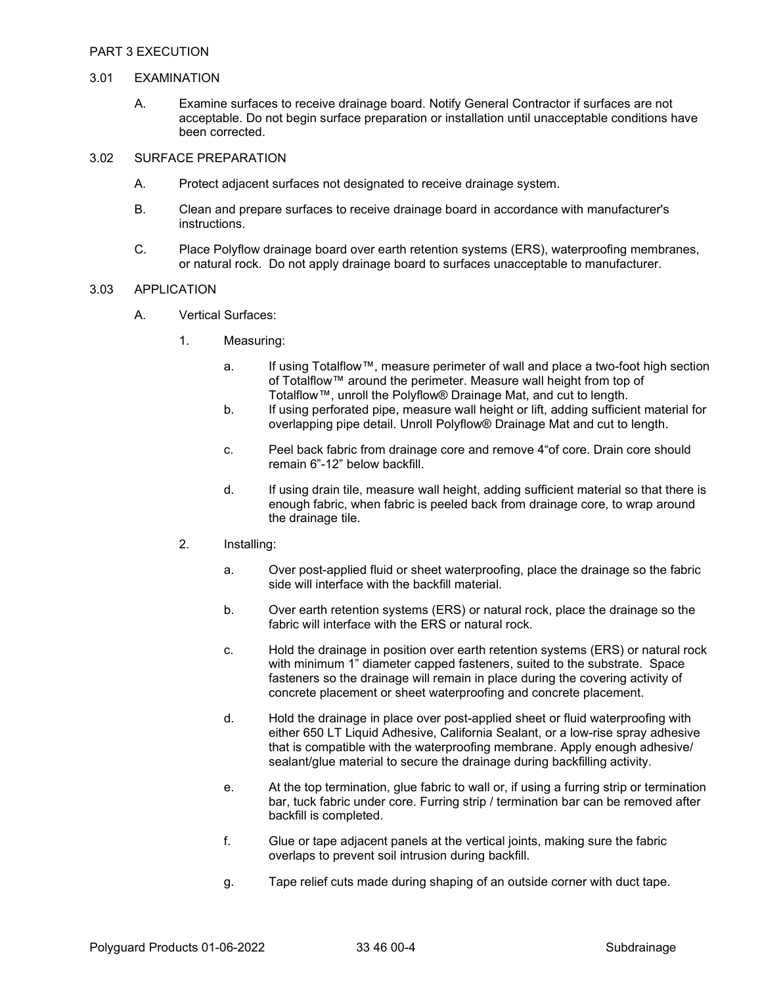## 3.01 EXAMINATION

 A. Examine surfaces to receive drainage board. Notify General Contractor if surfaces are not acceptable. Do not begin surface preparation or installation until unacceptable conditions have been corrected.

#### 3.02 SURFACE PREPARATION

- A. Protect adjacent surfaces not designated to receive drainage system.
- B. Clean and prepare surfaces to receive drainage board in accordance with manufacturer's instructions.
- C. Place Polyflow drainage board over earth retention systems (ERS), waterproofing membranes, or natural rock. Do not apply drainage board to surfaces unacceptable to manufacturer.

#### 3.03 APPLICATION

- A. Vertical Surfaces:
	- 1. Measuring:
		- a. If using Totalflow™, measure perimeter of wall and place a two-foot high section of Totalflow™ around the perimeter. Measure wall height from top of Totalflow™, unroll the Polyflow® Drainage Mat, and cut to length.
		- b. If using perforated pipe, measure wall height or lift, adding sufficient material for overlapping pipe detail. Unroll Polyflow® Drainage Mat and cut to length.
		- c. Peel back fabric from drainage core and remove 4"of core. Drain core should remain 6"-12" below backfill.
		- d. If using drain tile, measure wall height, adding sufficient material so that there is enough fabric, when fabric is peeled back from drainage core, to wrap around the drainage tile.

### 2. Installing:

- a. Over post-applied fluid or sheet waterproofing, place the drainage so the fabric side will interface with the backfill material.
- b. Over earth retention systems (ERS) or natural rock, place the drainage so the fabric will interface with the ERS or natural rock.
- c. Hold the drainage in position over earth retention systems (ERS) or natural rock with minimum 1" diameter capped fasteners, suited to the substrate. Space fasteners so the drainage will remain in place during the covering activity of concrete placement or sheet waterproofing and concrete placement.
- d. Hold the drainage in place over post-applied sheet or fluid waterproofing with either 650 LT Liquid Adhesive, California Sealant, or a low-rise spray adhesive that is compatible with the waterproofing membrane. Apply enough adhesive/ sealant/glue material to secure the drainage during backfilling activity.
- e. At the top termination, glue fabric to wall or, if using a furring strip or termination bar, tuck fabric under core. Furring strip / termination bar can be removed after backfill is completed.
- f. Glue or tape adjacent panels at the vertical joints, making sure the fabric overlaps to prevent soil intrusion during backfill.
- g. Tape relief cuts made during shaping of an outside corner with duct tape.